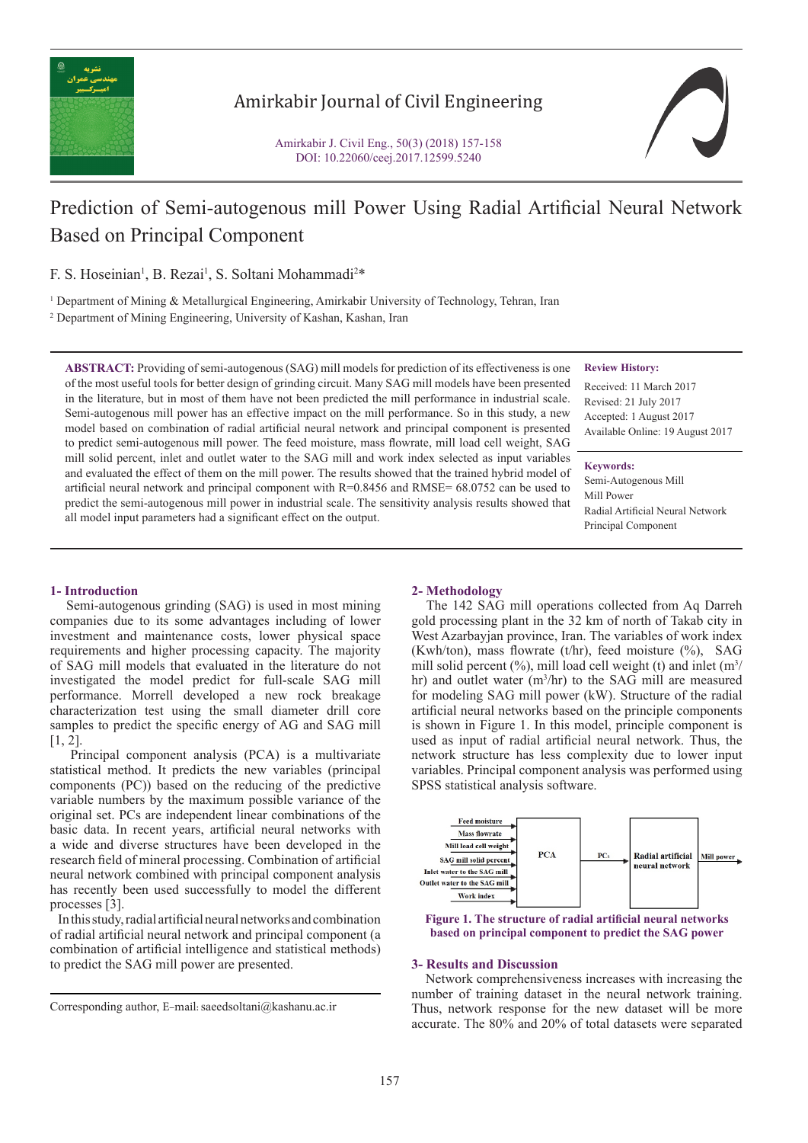

# Amirkabir Journal of Civil Engineering



# Prediction of Semi-autogenous mill Power Using Radial Artificial Neural Network Based on Principal Component

F. S. Hoseinian<sup>1</sup>, B. Rezai<sup>1</sup>, S. Soltani Mohammadi<sup>2\*</sup>

1 Department of Mining & Metallurgical Engineering, Amirkabir University of Technology, Tehran, Iran

2 Department of Mining Engineering, University of Kashan, Kashan, Iran

**ABSTRACT:** Providing of semi-autogenous (SAG) mill models for prediction of its effectiveness is one of the most useful tools for better design of grinding circuit. Many SAG mill models have been presented in the literature, but in most of them have not been predicted the mill performance in industrial scale. Semi-autogenous mill power has an effective impact on the mill performance. So in this study, a new model based on combination of radial artificial neural network and principal component is presented to predict semi-autogenous mill power. The feed moisture, mass flowrate, mill load cell weight, SAG mill solid percent, inlet and outlet water to the SAG mill and work index selected as input variables and evaluated the effect of them on the mill power. The results showed that the trained hybrid model of artificial neural network and principal component with  $R=0.8456$  and  $RMSE= 68.0752$  can be used to predict the semi-autogenous mill power in industrial scale. The sensitivity analysis results showed that all model input parameters had a significant effect on the output.

#### **Review History:**

Received: 11 March 2017 Revised: 21 July 2017 Accepted: 1 August 2017 Available Online: 19 August 2017

#### **Keywords:**

Semi-Autogenous Mill Mill Power Radial Artificial Neural Network Principal Component

# **1- Introduction**

 Semi-autogenous grinding (SAG) is used in most mining companies due to its some advantages including of lower investment and maintenance costs, lower physical space requirements and higher processing capacity. The majority of SAG mill models that evaluated in the literature do not investigated the model predict for full-scale SAG mill performance. Morrell developed a new rock breakage characterization test using the small diameter drill core samples to predict the specific energy of AG and SAG mill [1, 2].

 Principal component analysis (PCA) is a multivariate statistical method. It predicts the new variables (principal components (PC)) based on the reducing of the predictive variable numbers by the maximum possible variance of the original set. PCs are independent linear combinations of the basic data. In recent years, artificial neural networks with a wide and diverse structures have been developed in the research field of mineral processing. Combination of artificial neural network combined with principal component analysis has recently been used successfully to model the different processes [3].

 In this study, radial artificial neural networks and combination of radial artificial neural network and principal component (a combination of artificial intelligence and statistical methods) to predict the SAG mill power are presented.

# **2- Methodology**

 The 142 SAG mill operations collected from Aq Darreh gold processing plant in the 32 km of north of Takab city in West Azarbayjan province, Iran. The variables of work index (Kwh/ton), mass flowrate (t/hr), feed moisture  $(\%)$ , SAG mill solid percent  $(\%)$ , mill load cell weight (t) and inlet  $(m^3/m)$ hr) and outlet water  $(m^3/hr)$  to the SAG mill are measured for modeling SAG mill power (kW). Structure of the radial artificial neural networks based on the principle components is shown in Figure 1. In this model, principle component is used as input of radial artificial neural network. Thus, the network structure has less complexity due to lower input variables. Principal component analysis was performed using SPSS statistical analysis software.





# **3- Results and Discussion**

 Network comprehensiveness increases with increasing the number of training dataset in the neural network training. Thus, network response for the new dataset will be more accurate. The 80% and 20% of total datasets were separated

Corresponding author, E-mail: saeedsoltani@kashanu.ac.ir